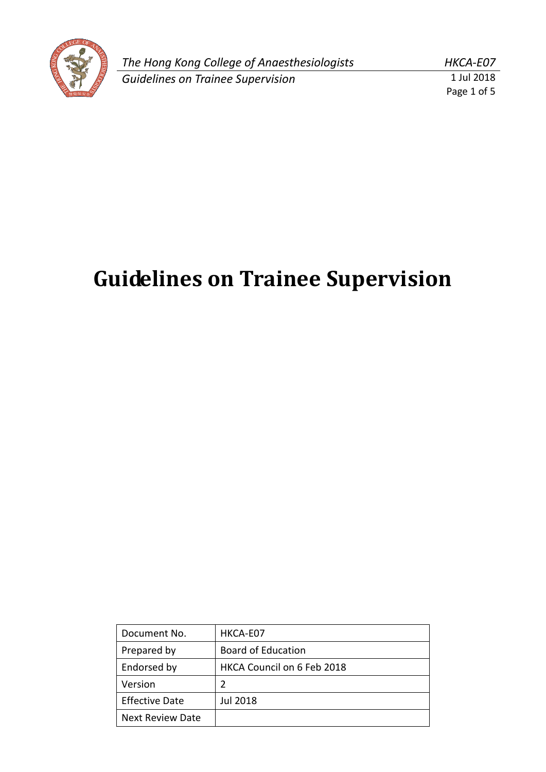

*The Hong Kong College of Anaesthesiologists HKCA-E07* **Guidelines on Trainee Supervision** 

Page 1 of 5

# **Guidelines on Trainee Supervision**

| Document No.            | HKCA-E07                   |
|-------------------------|----------------------------|
| Prepared by             | <b>Board of Education</b>  |
| Endorsed by             | HKCA Council on 6 Feb 2018 |
| Version                 | 2                          |
| <b>Effective Date</b>   | Jul 2018                   |
| <b>Next Review Date</b> |                            |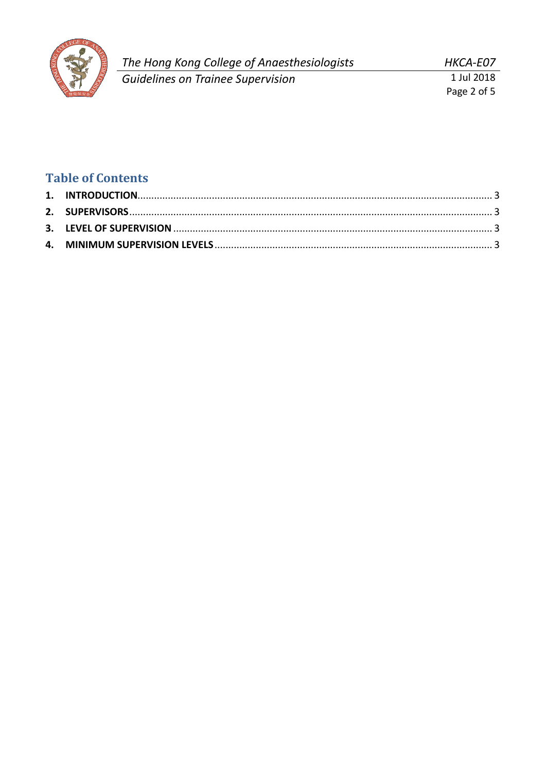

HKCA-E07 1 Jul 2018

Page 2 of 5

## **Table of Contents**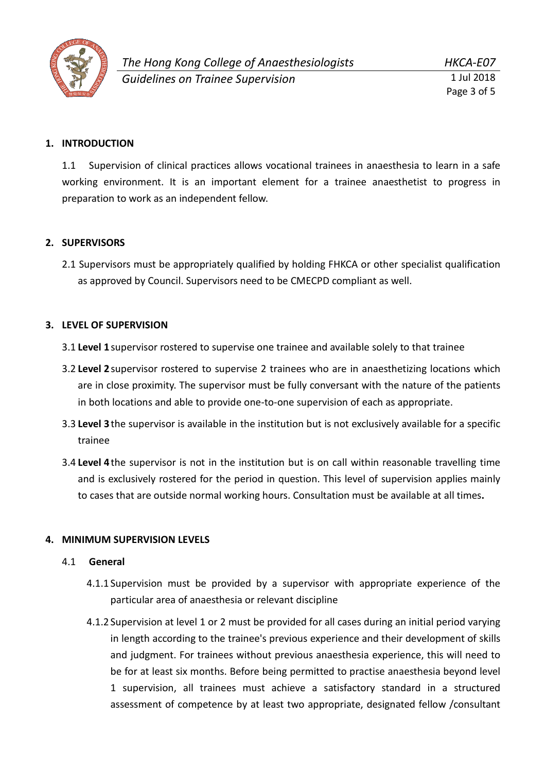

Page 3 of 5

#### <span id="page-2-0"></span>**1. INTRODUCTION**

1.1 Supervision of clinical practices allows vocational trainees in anaesthesia to learn in a safe working environment. It is an important element for a trainee anaesthetist to progress in preparation to work as an independent fellow.

#### <span id="page-2-1"></span>**2. SUPERVISORS**

2.1 Supervisors must be appropriately qualified by holding FHKCA or other specialist qualification as approved by Council. Supervisors need to be CMECPD compliant as well.

#### <span id="page-2-2"></span>**3. LEVEL OF SUPERVISION**

- 3.1 **Level 1**supervisor rostered to supervise one trainee and available solely to that trainee
- 3.2 **Level 2**supervisor rostered to supervise 2 trainees who are in anaesthetizing locations which are in close proximity. The supervisor must be fully conversant with the nature of the patients in both locations and able to provide one-to-one supervision of each as appropriate.
- 3.3 **Level 3**the supervisor is available in the institution but is not exclusively available for a specific trainee
- 3.4 **Level 4**the supervisor is not in the institution but is on call within reasonable travelling time and is exclusively rostered for the period in question. This level of supervision applies mainly to cases that are outside normal working hours. Consultation must be available at all times**.**

#### <span id="page-2-3"></span>**4. MINIMUM SUPERVISION LEVELS**

#### 4.1 **General**

- 4.1.1 Supervision must be provided by a supervisor with appropriate experience of the particular area of anaesthesia or relevant discipline
- 4.1.2 Supervision at level 1 or 2 must be provided for all cases during an initial period varying in length according to the trainee's previous experience and their development of skills and judgment. For trainees without previous anaesthesia experience, this will need to be for at least six months. Before being permitted to practise anaesthesia beyond level 1 supervision, all trainees must achieve a satisfactory standard in a structured assessment of competence by at least two appropriate, designated fellow /consultant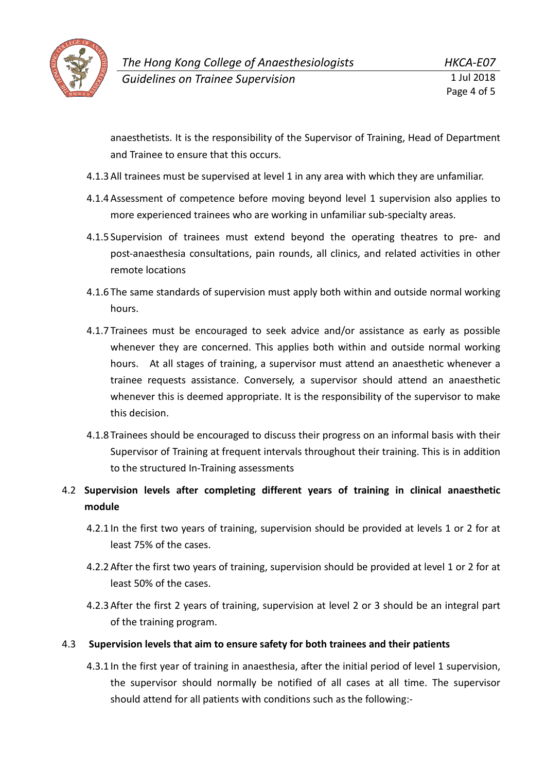

anaesthetists. It is the responsibility of the Supervisor of Training, Head of Department and Trainee to ensure that this occurs.

- 4.1.3All trainees must be supervised at level 1 in any area with which they are unfamiliar.
- 4.1.4Assessment of competence before moving beyond level 1 supervision also applies to more experienced trainees who are working in unfamiliar sub-specialty areas.
- 4.1.5 Supervision of trainees must extend beyond the operating theatres to pre- and post-anaesthesia consultations, pain rounds, all clinics, and related activities in other remote locations
- 4.1.6 The same standards of supervision must apply both within and outside normal working hours.
- 4.1.7 Trainees must be encouraged to seek advice and/or assistance as early as possible whenever they are concerned. This applies both within and outside normal working hours. At all stages of training, a supervisor must attend an anaesthetic whenever a trainee requests assistance. Conversely, a supervisor should attend an anaesthetic whenever this is deemed appropriate. It is the responsibility of the supervisor to make this decision.
- 4.1.8 Trainees should be encouraged to discuss their progress on an informal basis with their Supervisor of Training at frequent intervals throughout their training. This is in addition to the structured In-Training assessments

### 4.2 **Supervision levels after completing different years of training in clinical anaesthetic module**

- 4.2.1 In the first two years of training, supervision should be provided at levels 1 or 2 for at least 75% of the cases.
- 4.2.2After the first two years of training, supervision should be provided at level 1 or 2 for at least 50% of the cases.
- 4.2.3After the first 2 years of training, supervision at level 2 or 3 should be an integral part of the training program.

#### 4.3 **Supervision levels that aim to ensure safety for both trainees and their patients**

4.3.1 In the first year of training in anaesthesia, after the initial period of level 1 supervision, the supervisor should normally be notified of all cases at all time. The supervisor should attend for all patients with conditions such as the following:-